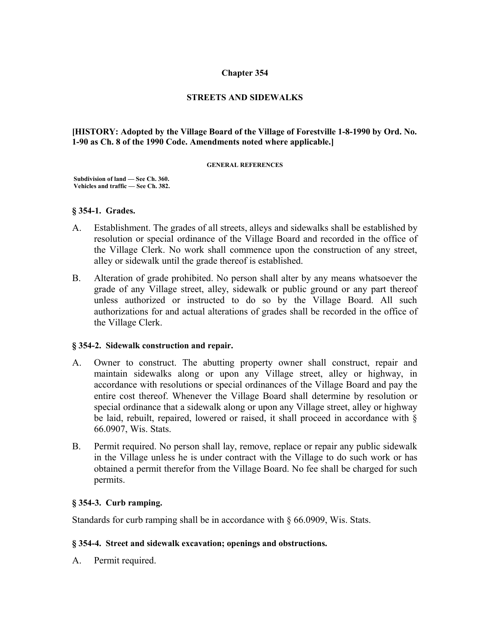### **Chapter 354**

### **STREETS AND SIDEWALKS**

### **[HISTORY: Adopted by the Village Board of the Village of Forestville 1-8-1990 by Ord. No. 1-90 as Ch. 8 of the 1990 Code. Amendments noted where applicable.]**

#### **GENERAL REFERENCES**

 **Subdivision of land — See Ch. 360. Vehicles and traffic — See Ch. 382.**

### **§ 354-1. Grades.**

- A. Establishment. The grades of all streets, alleys and sidewalks shall be established by resolution or special ordinance of the Village Board and recorded in the office of the Village Clerk. No work shall commence upon the construction of any street, alley or sidewalk until the grade thereof is established.
- B. Alteration of grade prohibited. No person shall alter by any means whatsoever the grade of any Village street, alley, sidewalk or public ground or any part thereof unless authorized or instructed to do so by the Village Board. All such authorizations for and actual alterations of grades shall be recorded in the office of the Village Clerk.

### **§ 354-2. Sidewalk construction and repair.**

- A. Owner to construct. The abutting property owner shall construct, repair and maintain sidewalks along or upon any Village street, alley or highway, in accordance with resolutions or special ordinances of the Village Board and pay the entire cost thereof. Whenever the Village Board shall determine by resolution or special ordinance that a sidewalk along or upon any Village street, alley or highway be laid, rebuilt, repaired, lowered or raised, it shall proceed in accordance with § 66.0907, Wis. Stats.
- B. Permit required. No person shall lay, remove, replace or repair any public sidewalk in the Village unless he is under contract with the Village to do such work or has obtained a permit therefor from the Village Board. No fee shall be charged for such permits.

### **§ 354-3. Curb ramping.**

Standards for curb ramping shall be in accordance with § 66.0909, Wis. Stats.

### **§ 354-4. Street and sidewalk excavation; openings and obstructions.**

A. Permit required.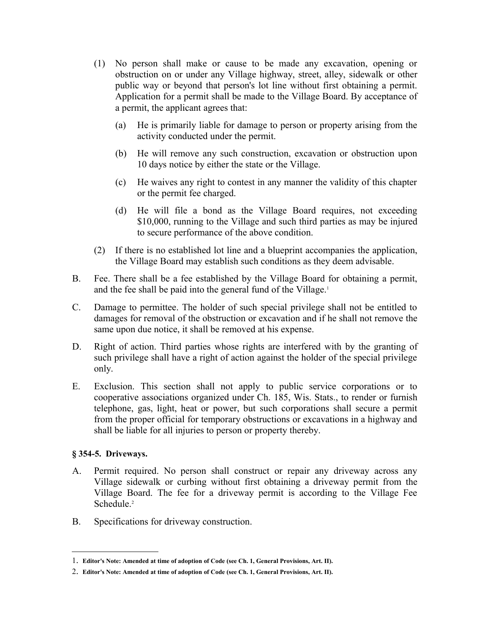- (1) No person shall make or cause to be made any excavation, opening or obstruction on or under any Village highway, street, alley, sidewalk or other public way or beyond that person's lot line without first obtaining a permit. Application for a permit shall be made to the Village Board. By acceptance of a permit, the applicant agrees that:
	- (a) He is primarily liable for damage to person or property arising from the activity conducted under the permit.
	- (b) He will remove any such construction, excavation or obstruction upon 10 days notice by either the state or the Village.
	- (c) He waives any right to contest in any manner the validity of this chapter or the permit fee charged.
	- (d) He will file a bond as the Village Board requires, not exceeding \$10,000, running to the Village and such third parties as may be injured to secure performance of the above condition.
- (2) If there is no established lot line and a blueprint accompanies the application, the Village Board may establish such conditions as they deem advisable.
- B. Fee. There shall be a fee established by the Village Board for obtaining a permit, and the fee shall be paid into the general fund of the Village.<sup>[1](#page-1-0)</sup>
- C. Damage to permittee. The holder of such special privilege shall not be entitled to damages for removal of the obstruction or excavation and if he shall not remove the same upon due notice, it shall be removed at his expense.
- D. Right of action. Third parties whose rights are interfered with by the granting of such privilege shall have a right of action against the holder of the special privilege only.
- E. Exclusion. This section shall not apply to public service corporations or to cooperative associations organized under Ch. 185, Wis. Stats., to render or furnish telephone, gas, light, heat or power, but such corporations shall secure a permit from the proper official for temporary obstructions or excavations in a highway and shall be liable for all injuries to person or property thereby.

# **§ 354-5. Driveways.**

- A. Permit required. No person shall construct or repair any driveway across any Village sidewalk or curbing without first obtaining a driveway permit from the Village Board. The fee for a driveway permit is according to the Village Fee Schedule.<sup>[2](#page-1-1)</sup>
- B. Specifications for driveway construction.

<span id="page-1-0"></span><sup>1</sup>. **Editor's Note: Amended at time of adoption of Code (see Ch. 1, General Provisions, Art. II).** 

<span id="page-1-1"></span><sup>2</sup>. **Editor's Note: Amended at time of adoption of Code (see Ch. 1, General Provisions, Art. II).**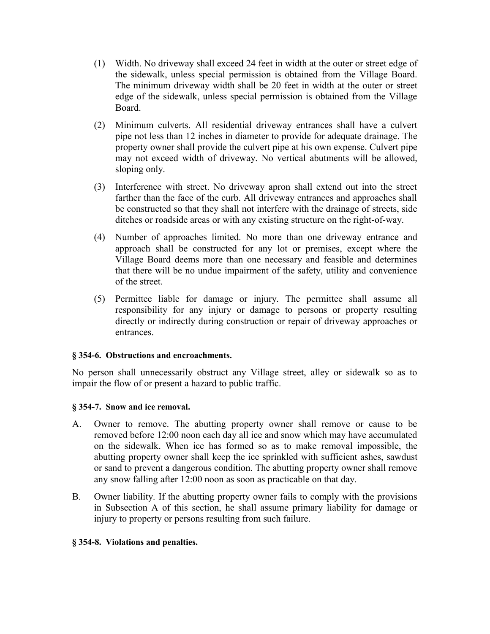- (1) Width. No driveway shall exceed 24 feet in width at the outer or street edge of the sidewalk, unless special permission is obtained from the Village Board. The minimum driveway width shall be 20 feet in width at the outer or street edge of the sidewalk, unless special permission is obtained from the Village Board.
- (2) Minimum culverts. All residential driveway entrances shall have a culvert pipe not less than 12 inches in diameter to provide for adequate drainage. The property owner shall provide the culvert pipe at his own expense. Culvert pipe may not exceed width of driveway. No vertical abutments will be allowed, sloping only.
- (3) Interference with street. No driveway apron shall extend out into the street farther than the face of the curb. All driveway entrances and approaches shall be constructed so that they shall not interfere with the drainage of streets, side ditches or roadside areas or with any existing structure on the right-of-way.
- (4) Number of approaches limited. No more than one driveway entrance and approach shall be constructed for any lot or premises, except where the Village Board deems more than one necessary and feasible and determines that there will be no undue impairment of the safety, utility and convenience of the street.
- (5) Permittee liable for damage or injury. The permittee shall assume all responsibility for any injury or damage to persons or property resulting directly or indirectly during construction or repair of driveway approaches or entrances.

# **§ 354-6. Obstructions and encroachments.**

No person shall unnecessarily obstruct any Village street, alley or sidewalk so as to impair the flow of or present a hazard to public traffic.

# **§ 354-7. Snow and ice removal.**

- A. Owner to remove. The abutting property owner shall remove or cause to be removed before 12:00 noon each day all ice and snow which may have accumulated on the sidewalk. When ice has formed so as to make removal impossible, the abutting property owner shall keep the ice sprinkled with sufficient ashes, sawdust or sand to prevent a dangerous condition. The abutting property owner shall remove any snow falling after 12:00 noon as soon as practicable on that day.
- B. Owner liability. If the abutting property owner fails to comply with the provisions in Subsection A of this section, he shall assume primary liability for damage or injury to property or persons resulting from such failure.

### **§ 354-8. Violations and penalties.**